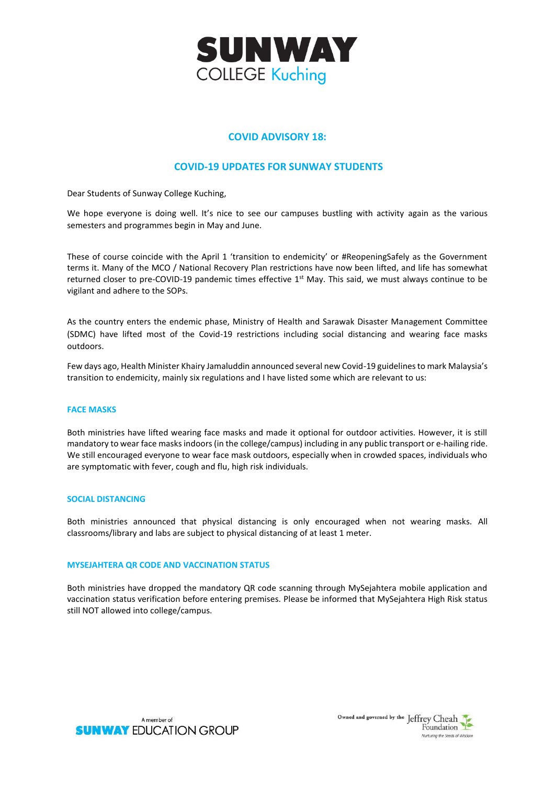

# **COVID ADVISORY 18:**

## **COVID-19 UPDATES FOR SUNWAY STUDENTS**

Dear Students of Sunway College Kuching,

We hope everyone is doing well. It's nice to see our campuses bustling with activity again as the various semesters and programmes begin in May and June.

These of course coincide with the April 1 'transition to endemicity' or #ReopeningSafely as the Government terms it. Many of the MCO / National Recovery Plan restrictions have now been lifted, and life has somewhat returned closer to pre-COVID-19 pandemic times effective 1<sup>st</sup> May. This said, we must always continue to be vigilant and adhere to the SOPs.

As the country enters the endemic phase, Ministry of Health and Sarawak Disaster Management Committee (SDMC) have lifted most of the Covid-19 restrictions including social distancing and wearing face masks outdoors.

Few days ago, Health Minister Khairy Jamaluddin announced several new Covid-19 guidelines to mark Malaysia's transition to endemicity, mainly six regulations and I have listed some which are relevant to us:

#### **FACE MASKS**

Both ministries have lifted wearing face masks and made it optional for outdoor activities. However, it is still mandatory to wear face masks indoors (in the college/campus) including in any public transport or e-hailing ride. We still encouraged everyone to wear face mask outdoors, especially when in crowded spaces, individuals who are symptomatic with fever, cough and flu, high risk individuals.

#### **SOCIAL DISTANCING**

Both ministries announced that physical distancing is only encouraged when not wearing masks. All classrooms/library and labs are subject to physical distancing of at least 1 meter.

## **MYSEJAHTERA QR CODE AND VACCINATION STATUS**

Both ministries have dropped the mandatory QR code scanning through MySejahtera mobile application and vaccination status verification before entering premises. Please be informed that MySejahtera High Risk status still NOT allowed into college/campus.



Owned and governed by the Jeffrey Cheah Foundation Nurturing the Seeds of Wisdom